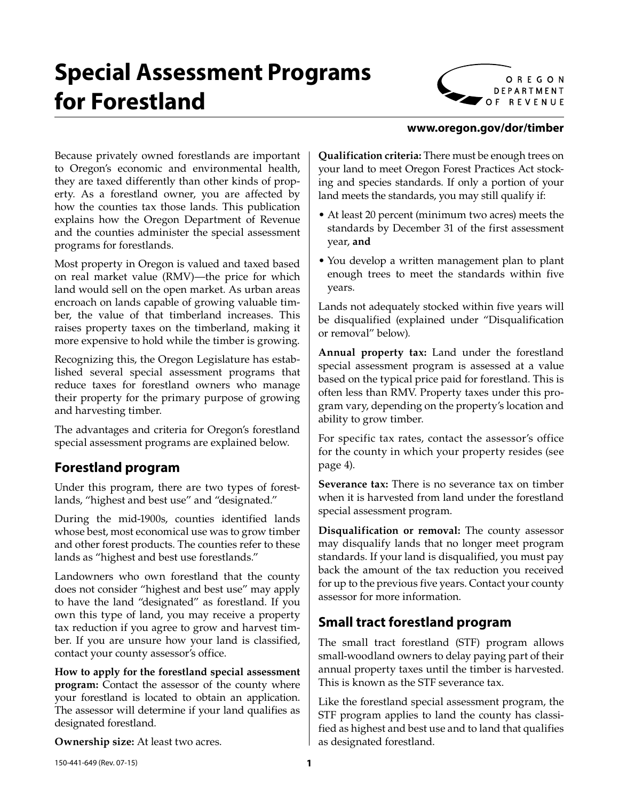# **Special Assessment Programs for Forestland**



#### **www.oregon.gov/dor/timber**

Because privately owned forestlands are important to Oregon's economic and environmental health, they are taxed differently than other kinds of property. As a forestland owner, you are affected by how the counties tax those lands. This publication explains how the Oregon Department of Revenue and the counties administer the special assessment programs for forestlands.

Most property in Oregon is valued and taxed based on real market value (RMV)—the price for which land would sell on the open market. As urban areas encroach on lands capable of growing valuable timber, the value of that timberland increases. This raises property taxes on the timberland, making it more expensive to hold while the timber is growing.

Recognizing this, the Oregon Legislature has established several special assessment programs that reduce taxes for forestland owners who manage their property for the primary purpose of growing and harvesting timber.

The advantages and criteria for Oregon's forestland special assessment programs are explained below.

# **Forestland program**

Under this program, there are two types of forestlands, "highest and best use" and "designated."

During the mid-1900s, counties identified lands whose best, most economical use was to grow timber and other forest products. The counties refer to these lands as "highest and best use forestlands."

Landowners who own forestland that the county does not consider "highest and best use" may apply to have the land "designated" as forestland. If you own this type of land, you may receive a property tax reduction if you agree to grow and harvest timber. If you are unsure how your land is classified, contact your county assessor's office.

**How to apply for the forestland special assessment program:** Contact the assessor of the county where your forestland is located to obtain an application. The assessor will determine if your land qualifies as designated forestland.

**Ownership size:** At least two acres.

**Qualification criteria:** There must be enough trees on your land to meet Oregon Forest Practices Act stocking and species standards. If only a portion of your land meets the standards, you may still qualify if:

- At least 20 percent (minimum two acres) meets the standards by December 31 of the first assessment year, **and**
- You develop a written management plan to plant enough trees to meet the standards within five years.

Lands not adequately stocked within five years will be disqualified (explained under "Disqualification or removal" below).

**Annual property tax:** Land under the forestland special assessment program is assessed at a value based on the typical price paid for forestland. This is often less than RMV. Property taxes under this program vary, depending on the property's location and ability to grow timber.

For specific tax rates, contact the assessor's office for the county in which your property resides (see page 4).

**Severance tax:** There is no severance tax on timber when it is harvested from land under the forestland special assessment program.

**Disqualification or removal:** The county assessor may disqualify lands that no longer meet program standards. If your land is disqualified, you must pay back the amount of the tax reduction you received for up to the previous five years. Contact your county assessor for more information.

# **Small tract forestland program**

The small tract forestland (STF) program allows small-woodland owners to delay paying part of their annual property taxes until the timber is harvested. This is known as the STF severance tax.

Like the forestland special assessment program, the STF program applies to land the county has classified as highest and best use and to land that qualifies as designated forestland.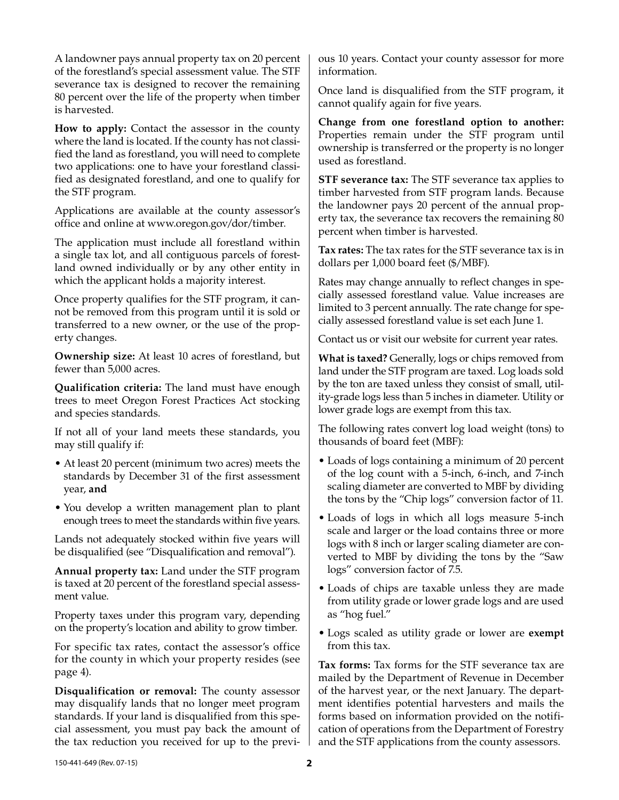A landowner pays annual property tax on 20 percent of the forestland's special assessment value. The STF severance tax is designed to recover the remaining 80 percent over the life of the property when timber is harvested.

**How to apply:** Contact the assessor in the county where the land is located. If the county has not classified the land as forestland, you will need to complete two applications: one to have your forestland classified as designated forestland, and one to qualify for the STF program.

Applications are available at the county assessor's office and online at www.oregon.gov/dor/timber.

The application must include all forestland within a single tax lot, and all contiguous parcels of forestland owned individually or by any other entity in which the applicant holds a majority interest.

Once property qualifies for the STF program, it cannot be removed from this program until it is sold or transferred to a new owner, or the use of the property changes.

**Ownership size:** At least 10 acres of forestland, but fewer than 5,000 acres.

**Qualification criteria:** The land must have enough trees to meet Oregon Forest Practices Act stocking and species standards.

If not all of your land meets these standards, you may still qualify if:

- At least 20 percent (minimum two acres) meets the standards by December 31 of the first assessment year, **and**
- You develop a written management plan to plant enough trees to meet the standards within five years.

Lands not adequately stocked within five years will be disqualified (see "Disqualification and removal").

**Annual property tax:** Land under the STF program is taxed at 20 percent of the forestland special assessment value.

Property taxes under this program vary, depending on the property's location and ability to grow timber.

For specific tax rates, contact the assessor's office for the county in which your property resides (see page 4).

**Disqualification or removal:** The county assessor may disqualify lands that no longer meet program standards. If your land is disqualified from this special assessment, you must pay back the amount of the tax reduction you received for up to the previous 10 years. Contact your county assessor for more information.

Once land is disqualified from the STF program, it cannot qualify again for five years.

**Change from one forestland option to another:** Properties remain under the STF program until ownership is transferred or the property is no longer used as forestland.

**STF severance tax:** The STF severance tax applies to timber harvested from STF program lands. Because the landowner pays 20 percent of the annual property tax, the severance tax recovers the remaining 80 percent when timber is harvested.

**Tax rates:** The tax rates for the STF severance tax is in dollars per 1,000 board feet (\$/MBF).

Rates may change annually to reflect changes in specially assessed forestland value. Value increases are limited to 3 percent annually. The rate change for specially assessed forestland value is set each June 1.

Contact us or visit our website for current year rates.

**What is taxed?** Generally, logs or chips removed from land under the STF program are taxed. Log loads sold by the ton are taxed unless they consist of small, utility-grade logs less than 5 inches in diameter. Utility or lower grade logs are exempt from this tax.

The following rates convert log load weight (tons) to thousands of board feet (MBF):

- Loads of logs containing a minimum of 20 percent of the log count with a 5-inch, 6-inch, and 7-inch scaling diameter are converted to MBF by dividing the tons by the "Chip logs" conversion factor of 11.
- Loads of logs in which all logs measure 5-inch scale and larger or the load contains three or more logs with 8 inch or larger scaling diameter are converted to MBF by dividing the tons by the "Saw logs" conversion factor of 7.5.
- Loads of chips are taxable unless they are made from utility grade or lower grade logs and are used as "hog fuel."
- Logs scaled as utility grade or lower are **exempt** from this tax.

**Tax forms:** Tax forms for the STF severance tax are mailed by the Department of Revenue in December of the harvest year, or the next January. The department identifies potential harvesters and mails the forms based on information provided on the notification of operations from the Department of Forestry and the STF applications from the county assessors.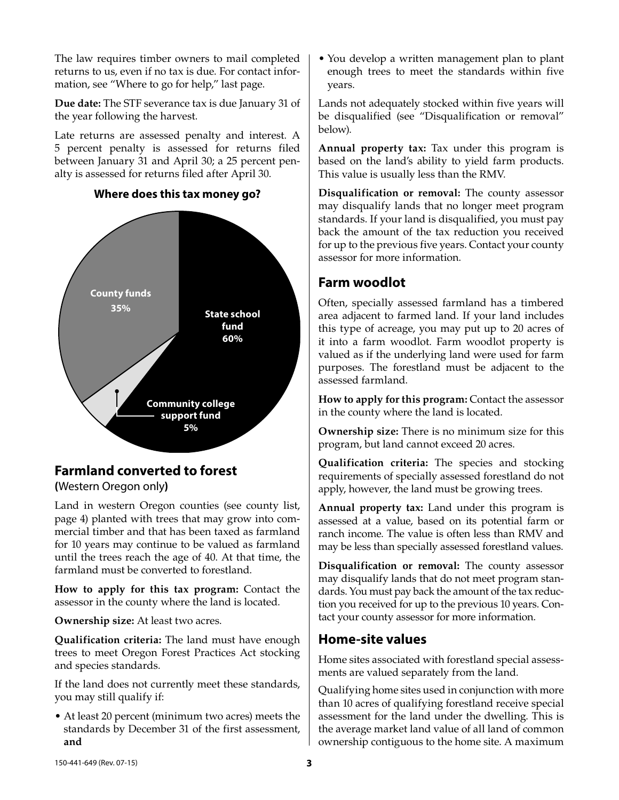The law requires timber owners to mail completed returns to us, even if no tax is due. For contact information, see "Where to go for help," last page.

**Due date:** The STF severance tax is due January 31 of the year following the harvest.

Late returns are assessed penalty and interest. A 5 percent penalty is assessed for returns filed between January 31 and April 30; a 25 percent penalty is assessed for returns filed after April 30.



#### **Where does this tax money go?**

# **Farmland converted to forest**

**(**Western Oregon only**)**

Land in western Oregon counties (see county list, page 4) planted with trees that may grow into commercial timber and that has been taxed as farmland for 10 years may continue to be valued as farmland until the trees reach the age of 40. At that time, the farmland must be converted to forestland.

**How to apply for this tax program:** Contact the assessor in the county where the land is located.

**Ownership size:** At least two acres.

**Qualification criteria:** The land must have enough trees to meet Oregon Forest Practices Act stocking and species standards.

If the land does not currently meet these standards, you may still qualify if:

• At least 20 percent (minimum two acres) meets the standards by December 31 of the first assessment, **and**

• You develop a written management plan to plant enough trees to meet the standards within five years.

Lands not adequately stocked within five years will be disqualified (see "Disqualification or removal" below).

**Annual property tax:** Tax under this program is based on the land's ability to yield farm products. This value is usually less than the RMV.

**Disqualification or removal:** The county assessor may disqualify lands that no longer meet program standards. If your land is disqualified, you must pay back the amount of the tax reduction you received for up to the previous five years. Contact your county assessor for more information.

# **Farm woodlot**

Often, specially assessed farmland has a timbered area adjacent to farmed land. If your land includes this type of acreage, you may put up to 20 acres of it into a farm woodlot. Farm woodlot property is valued as if the underlying land were used for farm purposes. The forestland must be adjacent to the assessed farmland.

**How to apply for this program:** Contact the assessor in the county where the land is located.

**Ownership size:** There is no minimum size for this program, but land cannot exceed 20 acres.

**Qualification criteria:** The species and stocking requirements of specially assessed forestland do not apply, however, the land must be growing trees.

**Annual property tax:** Land under this program is assessed at a value, based on its potential farm or ranch income. The value is often less than RMV and may be less than specially assessed forestland values.

**Disqualification or removal:** The county assessor may disqualify lands that do not meet program standards. You must pay back the amount of the tax reduction you received for up to the previous 10 years. Contact your county assessor for more information.

# **Home-site values**

Home sites associated with forestland special assessments are valued separately from the land.

Qualifying home sites used in conjunction with more than 10 acres of qualifying forestland receive special assessment for the land under the dwelling. This is the average market land value of all land of common ownership contiguous to the home site. A maximum